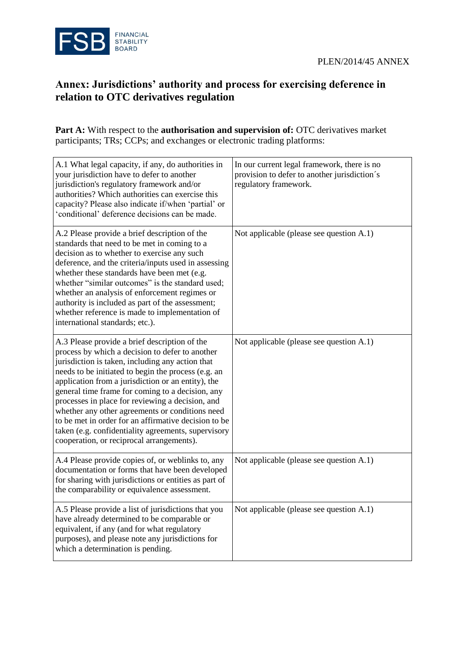

## **Annex: Jurisdictions' authority and process for exercising deference in relation to OTC derivatives regulation**

**Part A:** With respect to the **authorisation and supervision of:** OTC derivatives market participants; TRs; CCPs; and exchanges or electronic trading platforms:

| A.1 What legal capacity, if any, do authorities in<br>your jurisdiction have to defer to another<br>jurisdiction's regulatory framework and/or<br>authorities? Which authorities can exercise this<br>capacity? Please also indicate if/when 'partial' or<br>'conditional' deference decisions can be made.                                                                                                                                                                                                                                                                              | In our current legal framework, there is no<br>provision to defer to another jurisdiction's<br>regulatory framework. |
|------------------------------------------------------------------------------------------------------------------------------------------------------------------------------------------------------------------------------------------------------------------------------------------------------------------------------------------------------------------------------------------------------------------------------------------------------------------------------------------------------------------------------------------------------------------------------------------|----------------------------------------------------------------------------------------------------------------------|
| A.2 Please provide a brief description of the<br>standards that need to be met in coming to a<br>decision as to whether to exercise any such<br>deference, and the criteria/inputs used in assessing<br>whether these standards have been met (e.g.<br>whether "similar outcomes" is the standard used;<br>whether an analysis of enforcement regimes or<br>authority is included as part of the assessment;<br>whether reference is made to implementation of<br>international standards; etc.).                                                                                        | Not applicable (please see question A.1)                                                                             |
| A.3 Please provide a brief description of the<br>process by which a decision to defer to another<br>jurisdiction is taken, including any action that<br>needs to be initiated to begin the process (e.g. an<br>application from a jurisdiction or an entity), the<br>general time frame for coming to a decision, any<br>processes in place for reviewing a decision, and<br>whether any other agreements or conditions need<br>to be met in order for an affirmative decision to be<br>taken (e.g. confidentiality agreements, supervisory<br>cooperation, or reciprocal arrangements). | Not applicable (please see question A.1)                                                                             |
| A.4 Please provide copies of, or weblinks to, any<br>documentation or forms that have been developed<br>for sharing with jurisdictions or entities as part of<br>the comparability or equivalence assessment.                                                                                                                                                                                                                                                                                                                                                                            | Not applicable (please see question A.1)                                                                             |
| A.5 Please provide a list of jurisdictions that you<br>have already determined to be comparable or<br>equivalent, if any (and for what regulatory<br>purposes), and please note any jurisdictions for<br>which a determination is pending.                                                                                                                                                                                                                                                                                                                                               | Not applicable (please see question A.1)                                                                             |